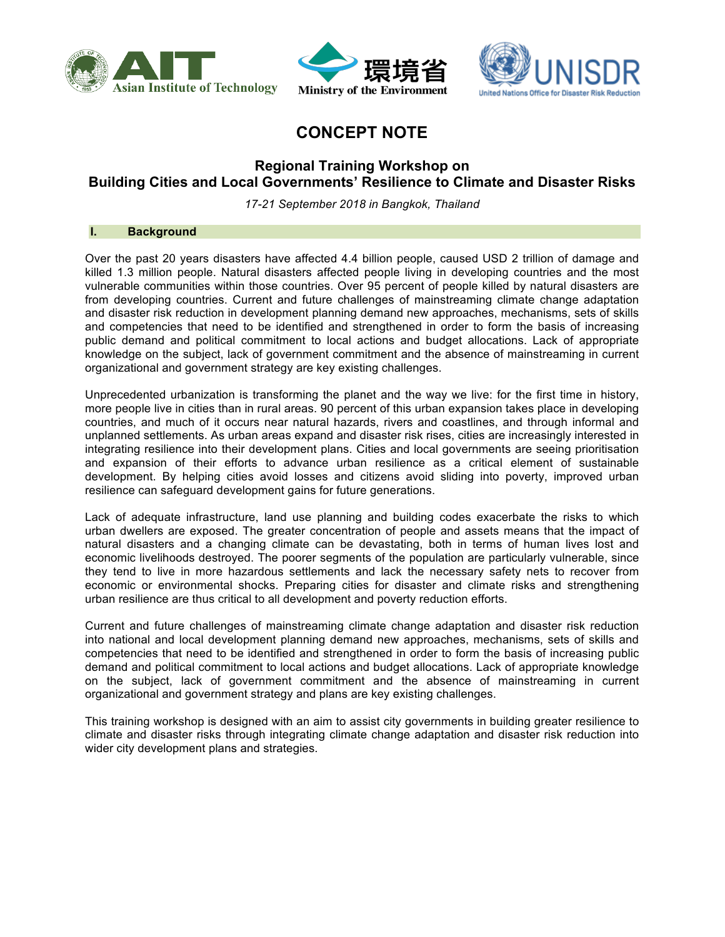





# **CONCEPT NOTE**

# **Regional Training Workshop on Building Cities and Local Governments' Resilience to Climate and Disaster Risks**

*17-21 September 2018 in Bangkok, Thailand*

### **I. Background**

Over the past 20 years disasters have affected 4.4 billion people, caused USD 2 trillion of damage and killed 1.3 million people. Natural disasters affected people living in developing countries and the most vulnerable communities within those countries. Over 95 percent of people killed by natural disasters are from developing countries. Current and future challenges of mainstreaming climate change adaptation and disaster risk reduction in development planning demand new approaches, mechanisms, sets of skills and competencies that need to be identified and strengthened in order to form the basis of increasing public demand and political commitment to local actions and budget allocations. Lack of appropriate knowledge on the subject, lack of government commitment and the absence of mainstreaming in current organizational and government strategy are key existing challenges.

Unprecedented urbanization is transforming the planet and the way we live: for the first time in history, more people live in cities than in rural areas. 90 percent of this urban expansion takes place in developing countries, and much of it occurs near natural hazards, rivers and coastlines, and through informal and unplanned settlements. As urban areas expand and disaster risk rises, cities are increasingly interested in integrating resilience into their development plans. Cities and local governments are seeing prioritisation and expansion of their efforts to advance urban resilience as a critical element of sustainable development. By helping cities avoid losses and citizens avoid sliding into poverty, improved urban resilience can safeguard development gains for future generations.

Lack of adequate infrastructure, land use planning and building codes exacerbate the risks to which urban dwellers are exposed. The greater concentration of people and assets means that the impact of natural disasters and a changing climate can be devastating, both in terms of human lives lost and economic livelihoods destroyed. The poorer segments of the population are particularly vulnerable, since they tend to live in more hazardous settlements and lack the necessary safety nets to recover from economic or environmental shocks. Preparing cities for disaster and climate risks and strengthening urban resilience are thus critical to all development and poverty reduction efforts.

Current and future challenges of mainstreaming climate change adaptation and disaster risk reduction into national and local development planning demand new approaches, mechanisms, sets of skills and competencies that need to be identified and strengthened in order to form the basis of increasing public demand and political commitment to local actions and budget allocations. Lack of appropriate knowledge on the subject, lack of government commitment and the absence of mainstreaming in current organizational and government strategy and plans are key existing challenges.

This training workshop is designed with an aim to assist city governments in building greater resilience to climate and disaster risks through integrating climate change adaptation and disaster risk reduction into wider city development plans and strategies.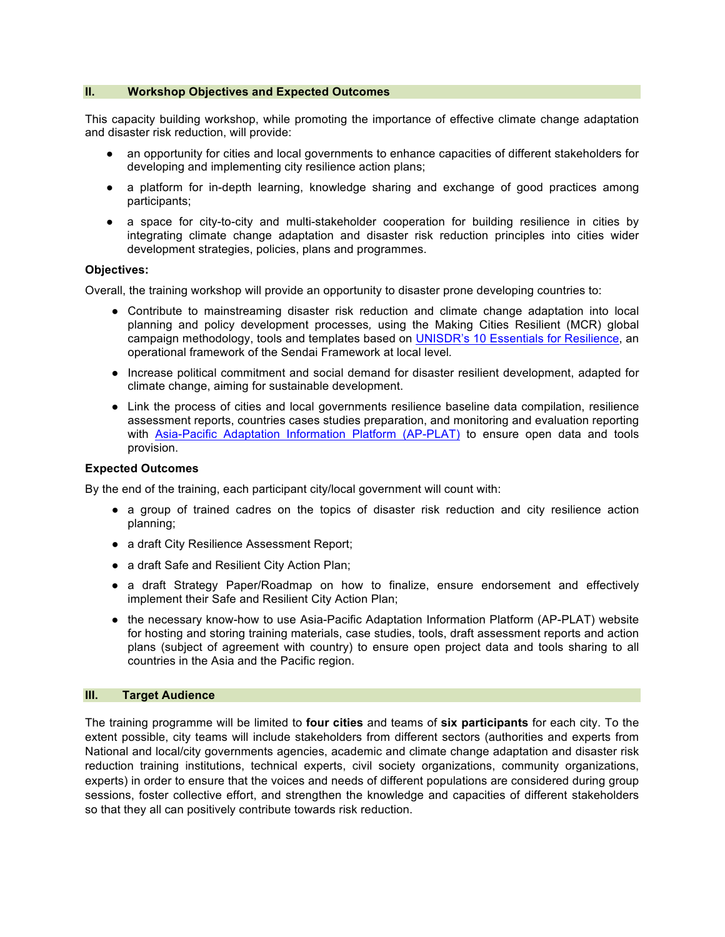#### **II. Workshop Objectives and Expected Outcomes**

This capacity building workshop, while promoting the importance of effective climate change adaptation and disaster risk reduction, will provide:

- an opportunity for cities and local governments to enhance capacities of different stakeholders for developing and implementing city resilience action plans;
- a platform for in-depth learning, knowledge sharing and exchange of good practices among participants;
- a space for city-to-city and multi-stakeholder cooperation for building resilience in cities by integrating climate change adaptation and disaster risk reduction principles into cities wider development strategies, policies, plans and programmes.

#### **Objectives:**

Overall, the training workshop will provide an opportunity to disaster prone developing countries to:

- Contribute to mainstreaming disaster risk reduction and climate change adaptation into local planning and policy development processes*,* using the Making Cities Resilient (MCR) global campaign methodology, tools and templates based on UNISDR's 10 Essentials for Resilience, an operational framework of the Sendai Framework at local level*.*
- Increase political commitment and social demand for disaster resilient development, adapted for climate change, aiming for sustainable development.
- Link the process of cities and local governments resilience baseline data compilation, resilience assessment reports, countries cases studies preparation, and monitoring and evaluation reporting with Asia-Pacific Adaptation Information Platform (AP-PLAT) to ensure open data and tools provision.

#### **Expected Outcomes**

By the end of the training, each participant city/local government will count with:

- a group of trained cadres on the topics of disaster risk reduction and city resilience action planning;
- a draft City Resilience Assessment Report;
- a draft Safe and Resilient City Action Plan;
- a draft Strategy Paper/Roadmap on how to finalize, ensure endorsement and effectively implement their Safe and Resilient City Action Plan;
- the necessary know-how to use Asia-Pacific Adaptation Information Platform (AP-PLAT) website for hosting and storing training materials, case studies, tools, draft assessment reports and action plans (subject of agreement with country) to ensure open project data and tools sharing to all countries in the Asia and the Pacific region.

#### **III. Target Audience**

The training programme will be limited to **four cities** and teams of **six participants** for each city. To the extent possible, city teams will include stakeholders from different sectors (authorities and experts from National and local/city governments agencies, academic and climate change adaptation and disaster risk reduction training institutions, technical experts, civil society organizations, community organizations, experts) in order to ensure that the voices and needs of different populations are considered during group sessions, foster collective effort, and strengthen the knowledge and capacities of different stakeholders so that they all can positively contribute towards risk reduction.